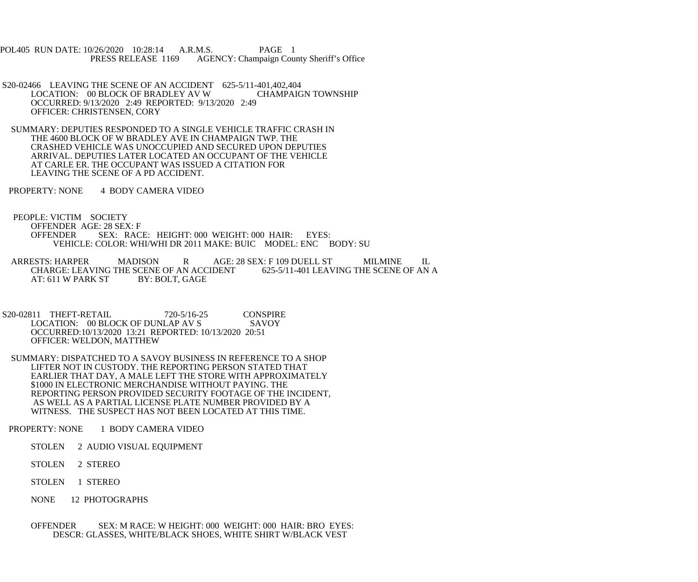POL405 RUN DATE: 10/26/2020 10:28:14 A.R.M.S. PAGE 1<br>PRESS RELEASE 1169 AGENCY: Champaign Cou AGENCY: Champaign County Sheriff's Office

- S20-02466 LEAVING THE SCENE OF AN ACCIDENT 625-5/11-401,402,404<br>LOCATION: 00 BLOCK OF BRADLEY AV W CHAMPAIGN TOWNSHIP LOCATION: 00 BLOCK OF BRADLEY AV W OCCURRED: 9/13/2020 2:49 REPORTED: 9/13/2020 2:49 OFFICER: CHRISTENSEN, CORY
- SUMMARY: DEPUTIES RESPONDED TO A SINGLE VEHICLE TRAFFIC CRASH IN THE 4600 BLOCK OF W BRADLEY AVE IN CHAMPAIGN TWP. THE CRASHED VEHICLE WAS UNOCCUPIED AND SECURED UPON DEPUTIES ARRIVAL. DEPUTIES LATER LOCATED AN OCCUPANT OF THE VEHICLE AT CARLE ER. THE OCCUPANT WAS ISSUED A CITATION FOR LEAVING THE SCENE OF A PD ACCIDENT.
- PROPERTY: NONE 4 BODY CAMERA VIDEO
- PEOPLE: VICTIM SOCIETY OFFENDER AGE: 28 SEX: F OFFENDER SEX: RACE: HEIGHT: 000 WEIGHT: 000 HAIR: EYES: VEHICLE: COLOR: WHI/WHI DR 2011 MAKE: BUIC MODEL: ENC BODY: SU
- ARRESTS: HARPER MADISON R AGE: 28 SEX: F 109 DUELL ST MILMINE IL CHARGE: LEAVING THE SCENE OF AN ACCIDENT 625-5/11-401 LEAVING THE SCENE OF AN A CHARGE: LEAVING THE SCENE OF AN ACCIDENT<br>AT: 611 W PARK ST BY: BOLT, GAGE AT: 611 W PARK ST
- S20-02811 THEFT-RETAIL 720-5/16-25 CONSPIRE<br>LOCATION: 00 BLOCK OF DUNLAP AV S SAVOY LOCATION: 00 BLOCK OF DUNLAP AV S OCCURRED:10/13/2020 13:21 REPORTED: 10/13/2020 20:51 OFFICER: WELDON, MATTHEW
- SUMMARY: DISPATCHED TO A SAVOY BUSINESS IN REFERENCE TO A SHOP LIFTER NOT IN CUSTODY. THE REPORTING PERSON STATED THAT EARLIER THAT DAY, A MALE LEFT THE STORE WITH APPROXIMATELY \$1000 IN ELECTRONIC MERCHANDISE WITHOUT PAYING. THE REPORTING PERSON PROVIDED SECURITY FOOTAGE OF THE INCIDENT, AS WELL AS A PARTIAL LICENSE PLATE NUMBER PROVIDED BY A WITNESS. THE SUSPECT HAS NOT BEEN LOCATED AT THIS TIME.
- PROPERTY: NONE 1 BODY CAMERA VIDEO
	- STOLEN 2 AUDIO VISUAL EQUIPMENT
	- STOLEN 2 STEREO
	- STOLEN 1 STEREO
	- NONE 12 PHOTOGRAPHS
	- OFFENDER SEX: M RACE: W HEIGHT: 000 WEIGHT: 000 HAIR: BRO EYES: DESCR: GLASSES, WHITE/BLACK SHOES, WHITE SHIRT W/BLACK VEST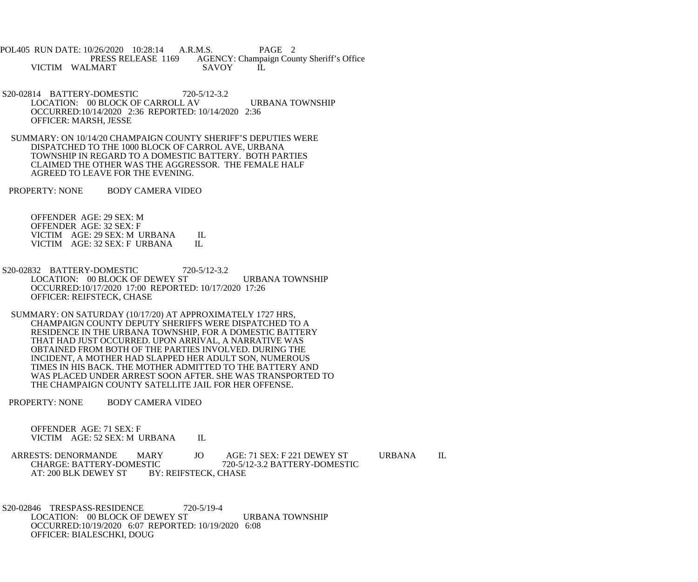POL405 RUN DATE: 10/26/2020 10:28:14 A.R.M.S. PAGE 2<br>PRESS RELEASE 1169 AGENCY: Champaign Cou AGENCY: Champaign County Sheriff's Office VICTIM WALMART SAVOY IL

- S20-02814 BATTERY-DOMESTIC 720-5/12-3.2 LOCATION: 00 BLOCK OF CARROLL AV URBANA TOWNSHIP OCCURRED:10/14/2020 2:36 REPORTED: 10/14/2020 2:36 OFFICER: MARSH, JESSE
- SUMMARY: ON 10/14/20 CHAMPAIGN COUNTY SHERIFF'S DEPUTIES WERE DISPATCHED TO THE 1000 BLOCK OF CARROL AVE, URBANA TOWNSHIP IN REGARD TO A DOMESTIC BATTERY. BOTH PARTIES CLAIMED THE OTHER WAS THE AGGRESSOR. THE FEMALE HALF AGREED TO LEAVE FOR THE EVENING.
- PROPERTY: NONE BODY CAMERA VIDEO

 OFFENDER AGE: 29 SEX: M OFFENDER AGE: 32 SEX: F VICTIM AGE: 29 SEX: M URBANA IL<br>VICTIM AGE: 32 SEX: F URBANA IL VICTIM AGE: 32 SEX: F URBANA

- S20-02832 BATTERY-DOMESTIC 720-5/12-3.2 LOCATION: 00 BLOCK OF DEWEY ST URBANA TOWNSHIP OCCURRED:10/17/2020 17:00 REPORTED: 10/17/2020 17:26 OFFICER: REIFSTECK, CHASE
- SUMMARY: ON SATURDAY (10/17/20) AT APPROXIMATELY 1727 HRS, CHAMPAIGN COUNTY DEPUTY SHERIFFS WERE DISPATCHED TO A RESIDENCE IN THE URBANA TOWNSHIP, FOR A DOMESTIC BATTERY THAT HAD JUST OCCURRED. UPON ARRIVAL, A NARRATIVE WAS OBTAINED FROM BOTH OF THE PARTIES INVOLVED. DURING THE INCIDENT, A MOTHER HAD SLAPPED HER ADULT SON, NUMEROUS TIMES IN HIS BACK. THE MOTHER ADMITTED TO THE BATTERY AND WAS PLACED UNDER ARREST SOON AFTER. SHE WAS TRANSPORTED TO THE CHAMPAIGN COUNTY SATELLITE JAIL FOR HER OFFENSE.
- PROPERTY: NONE BODY CAMERA VIDEO

 OFFENDER AGE: 71 SEX: F VICTIM AGE: 52 SEX: M URBANA IL

ARRESTS: DENORMANDE MARY JO AGE: 71 SEX: F 221 DEWEY ST URBANA IL CHARGE: BATTERY-DOMESTIC 720-5/12-3.2 BATTERY-DOMESTIC TIC 720-5/12-3.2 BATTERY-DOMESTIC<br>BY: REIFSTECK, CHASE AT: 200 BLK DEWEY ST

 S20-02846 TRESPASS-RESIDENCE 720-5/19-4 LOCATION: 00 BLOCK OF DEWEY ST URBANA TOWNSHIP OCCURRED:10/19/2020 6:07 REPORTED: 10/19/2020 6:08 OFFICER: BIALESCHKI, DOUG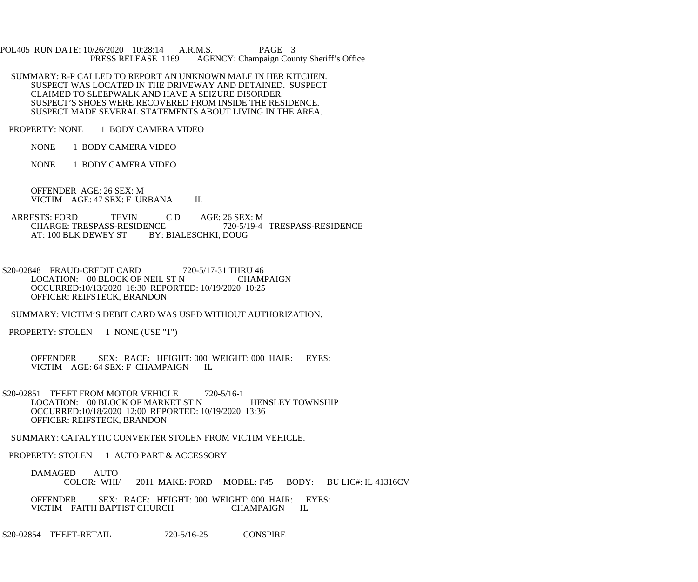POL405 RUN DATE: 10/26/2020 10:28:14 A.R.M.S. PAGE 3<br>PRESS RELEASE 1169 AGENCY: Champaign Cou AGENCY: Champaign County Sheriff's Office

- SUMMARY: R-P CALLED TO REPORT AN UNKNOWN MALE IN HER KITCHEN. SUSPECT WAS LOCATED IN THE DRIVEWAY AND DETAINED. SUSPECT CLAIMED TO SLEEPWALK AND HAVE A SEIZURE DISORDER. SUSPECT'S SHOES WERE RECOVERED FROM INSIDE THE RESIDENCE. SUSPECT MADE SEVERAL STATEMENTS ABOUT LIVING IN THE AREA.
- PROPERTY: NONE 1 BODY CAMERA VIDEO
	- NONE 1 BODY CAMERA VIDEO
	- NONE 1 BODY CAMERA VIDEO

 OFFENDER AGE: 26 SEX: M VICTIM AGE: 47 SEX: F URBANA IL

- ARRESTS: FORD TEVIN C D AGE: 26 SEX: M<br>CHARGE: TRESPASS-RESIDENCE 720-5/19-4 CHARGE: TRESPASS-RESIDENCE 720-5/19-4 TRESPASS-RESIDENCE<br>AT: 100 BLK DEWEY ST BY: BIALESCHKI. DOUG BY: BIALESCHKI, DOUG
- S20-02848 FRAUD-CREDIT CARD 720-5/17-31 THRU 46<br>LOCATION: 00 BLOCK OF NEIL ST N CHAMPAIGN LOCATION: 00 BLOCK OF NEIL ST N OCCURRED:10/13/2020 16:30 REPORTED: 10/19/2020 10:25 OFFICER: REIFSTECK, BRANDON
- SUMMARY: VICTIM'S DEBIT CARD WAS USED WITHOUT AUTHORIZATION.
- PROPERTY: STOLEN 1 NONE (USE "1")
	- OFFENDER SEX: RACE: HEIGHT: 000 WEIGHT: 000 HAIR: EYES: VICTIM AGE: 64 SEX: F CHAMPAIGN IL VICTIM AGE: 64 SEX: F CHAMPAIGN
- S20-02851 THEFT FROM MOTOR VEHICLE 720-5/16-1 LOCATION: 00 BLOCK OF MARKET ST N HENSLEY TOWNSHIP OCCURRED:10/18/2020 12:00 REPORTED: 10/19/2020 13:36 OFFICER: REIFSTECK, BRANDON
- SUMMARY: CATALYTIC CONVERTER STOLEN FROM VICTIM VEHICLE.
- PROPERTY: STOLEN 1 AUTO PART & ACCESSORY
	- DAMAGED AUTO<br>COLOR: WHI/ 2011 MAKE: FORD MODEL: F45 BODY: BU LIC#: IL 41316CV
	- OFFENDER SEX: RACE: HEIGHT: 000 WEIGHT: 000 HAIR: EYES:<br>VICTIM FAITH BAPTIST CHURCH CHAMPAIGN IL VICTIM FAITH BAPTIST CHURCH
- S20-02854 THEFT-RETAIL 720-5/16-25 CONSPIRE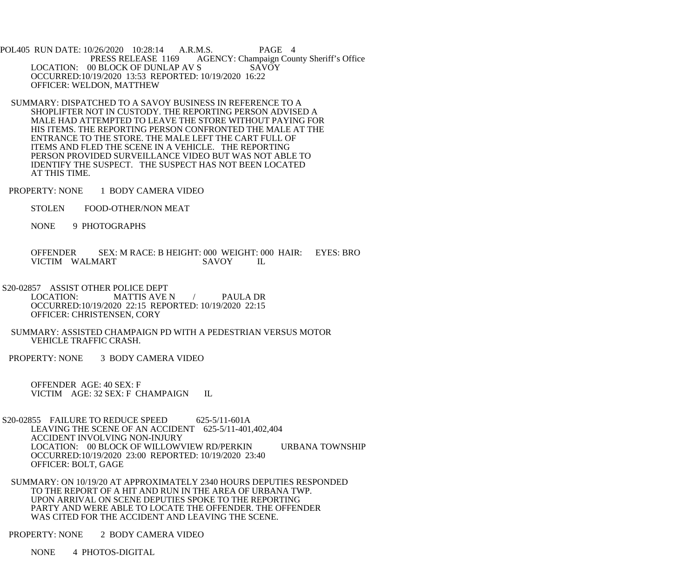POL405 RUN DATE: 10/26/2020 10:28:14 A.R.M.S. PAGE 4<br>PRESS RELEASE 1169 AGENCY: Champaign Cou AGENCY: Champaign County Sheriff's Office LOCATION: 00 BLOCK OF DUNLAP AV S SAVOY OCCURRED:10/19/2020 13:53 REPORTED: 10/19/2020 16:22 OFFICER: WELDON, MATTHEW

- SUMMARY: DISPATCHED TO A SAVOY BUSINESS IN REFERENCE TO A SHOPLIFTER NOT IN CUSTODY. THE REPORTING PERSON ADVISED A MALE HAD ATTEMPTED TO LEAVE THE STORE WITHOUT PAYING FOR HIS ITEMS. THE REPORTING PERSON CONFRONTED THE MALE AT THE ENTRANCE TO THE STORE. THE MALE LEFT THE CART FULL OF ITEMS AND FLED THE SCENE IN A VEHICLE. THE REPORTING PERSON PROVIDED SURVEILLANCE VIDEO BUT WAS NOT ABLE TO IDENTIFY THE SUSPECT. THE SUSPECT HAS NOT BEEN LOCATED AT THIS TIME.
- PROPERTY: NONE 1 BODY CAMERA VIDEO
	- STOLEN FOOD-OTHER/NON MEAT
	- NONE 9 PHOTOGRAPHS

 OFFENDER SEX: M RACE: B HEIGHT: 000 WEIGHT: 000 HAIR: EYES: BRO VICTIM WALMART SAVOY IL

 S20-02857 ASSIST OTHER POLICE DEPT LOCATION: MATTIS AVE N / PAULA DR OCCURRED:10/19/2020 22:15 REPORTED: 10/19/2020 22:15

 OFFICER: CHRISTENSEN, CORY SUMMARY: ASSISTED CHAMPAIGN PD WITH A PEDESTRIAN VERSUS MOTOR VEHICLE TRAFFIC CRASH.

PROPERTY: NONE 3 BODY CAMERA VIDEO

 OFFENDER AGE: 40 SEX: F VICTIM AGE: 32 SEX: F CHAMPAIGN IL

S20-02855 FAILURE TO REDUCE SPEED 625-5/11-601A LEAVING THE SCENE OF AN ACCIDENT 625-5/11-401,402,404 ACCIDENT INVOLVING NON-INJURY LOCATION: 00 BLOCK OF WILLOWVIEW RD/PERKIN URBANA TOWNSHIP OCCURRED:10/19/2020 23:00 REPORTED: 10/19/2020 23:40 OFFICER: BOLT, GAGE

 SUMMARY: ON 10/19/20 AT APPROXIMATELY 2340 HOURS DEPUTIES RESPONDED TO THE REPORT OF A HIT AND RUN IN THE AREA OF URBANA TWP. UPON ARRIVAL ON SCENE DEPUTIES SPOKE TO THE REPORTING PARTY AND WERE ABLE TO LOCATE THE OFFENDER. THE OFFENDER WAS CITED FOR THE ACCIDENT AND LEAVING THE SCENE.

PROPERTY: NONE 2 BODY CAMERA VIDEO

NONE 4 PHOTOS-DIGITAL